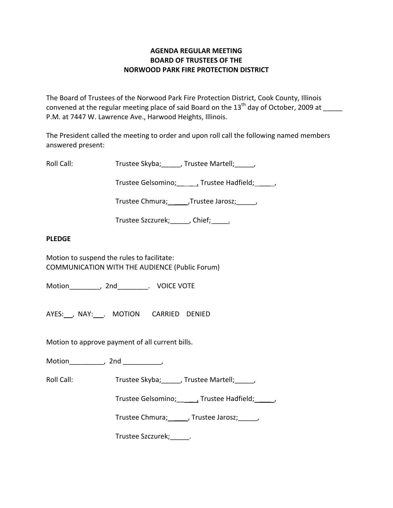# **AGENDA REGULAR MEETING BOARD OF TRUSTEES OF THE NORWOOD PARK FIRE PROTECTION DISTRICT**

The Board of Trustees of the Norwood Park Fire Protection District, Cook County, Illinois convened at the regular meeting place of said Board on the  $13<sup>th</sup>$  day of October, 2009 at P.M. at 7447 W. Lawrence Ave., Harwood Heights, Illinois.

The President called the meeting to order and upon roll call the following named members answered present:

Roll Call: Trustee Skyba; \_\_\_\_, Trustee Martell; \_\_\_\_,

Trustee Gelsomino; \_\_\_\_\_\_, Trustee Hadfield; \_\_\_\_\_,

Trustee Chmura; \_\_\_\_\_\_, Trustee Jarosz; \_\_\_\_\_,

Trustee Szczurek; Chief; \_\_\_\_\_

## **PLEDGE**

Motion to suspend the rules to facilitate: COMMUNICATION WITH THE AUDIENCE (Public Forum)

Motion\_\_\_\_\_\_\_\_, 2nd\_\_\_\_\_\_\_\_. VOICE VOTE

AYES: , NAY: . MOTION CARRIED DENIED

Motion to approve payment of all current bills.

Motion\_\_\_\_\_\_\_\_\_, 2nd \_\_\_\_\_\_\_\_\_\_,

Roll Call: Trustee Skyba; J. Trustee Martell; Trustee Martell;

Trustee Gelsomino; \_\_\_\_\_\_, Trustee Hadfield; \_\_\_\_\_,

Trustee Chmura; \_\_\_\_\_, Trustee Jarosz; \_\_\_\_\_,

Trustee Szczurek;\_\_\_\_\_.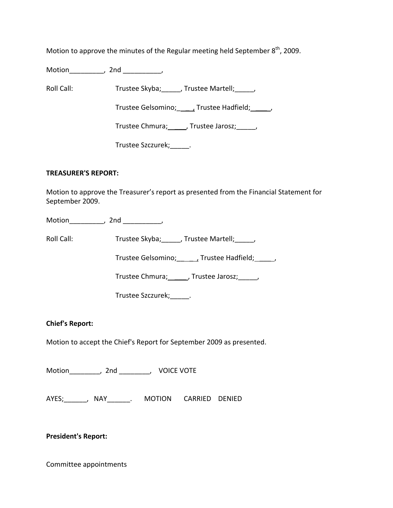Motion to approve the minutes of the Regular meeting held September  $8<sup>th</sup>$ , 2009.

Motion\_\_\_\_\_\_\_\_\_, 2nd \_\_\_\_\_\_\_\_\_\_,

Roll Call: Trustee Skyba; Trustee Martell; Trustee Martell;

Trustee Gelsomino; \_\_\_\_\_, Trustee Hadfield; \_\_\_\_\_\_,

Trustee Chmura; \_\_\_\_\_, Trustee Jarosz; \_\_\_\_\_,

Trustee Szczurek;\_\_\_\_\_.

## **TREASURER'S REPORT:**

Motion to approve the Treasurer's report as presented from the Financial Statement for September 2009.

Motion\_\_\_\_\_\_\_\_\_, 2nd \_\_\_\_\_\_\_\_\_\_,

Roll Call: Trustee Skyba; \_\_\_\_, Trustee Martell; \_\_\_\_,

Trustee Gelsomino; \_\_\_\_\_, Trustee Hadfield; \_\_\_\_\_,

Trustee Chmura; \_\_\_\_\_, Trustee Jarosz; \_\_\_\_,

Trustee Szczurek;\_\_\_\_\_.

## **Chief's Report:**

Motion to accept the Chief's Report for September 2009 as presented.

Motion \_\_\_\_\_\_\_, 2nd \_\_\_\_\_\_\_, VOICE VOTE

AYES; The AYES; The AYES; ANAY The MOTION CARRIED DENIED

**President's Report:**

Committee appointments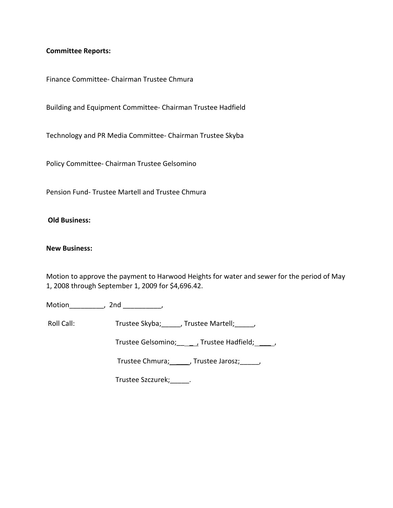#### **Committee Reports:**

Finance Committee‐ Chairman Trustee Chmura

Building and Equipment Committee‐ Chairman Trustee Hadfield

Technology and PR Media Committee‐ Chairman Trustee Skyba

Policy Committee‐ Chairman Trustee Gelsomino

Pension Fund‐ Trustee Martell and Trustee Chmura

#### **Old Business:**

#### **New Business:**

Motion to approve the payment to Harwood Heights for water and sewer for the period of May 1, 2008 through September 1, 2009 for \$4,696.42.

Motion\_\_\_\_\_\_\_\_\_, 2nd \_\_\_\_\_\_\_\_\_\_,

Roll Call: Trustee Skyba; \_\_\_\_\_, Trustee Martell; \_\_\_\_\_,

Trustee Gelsomino; \_\_\_\_\_\_, Trustee Hadfield; \_\_\_\_\_,

Trustee Chmura; \_\_\_\_\_, Trustee Jarosz; \_\_\_\_\_,

Trustee Szczurek;\_\_\_\_\_.